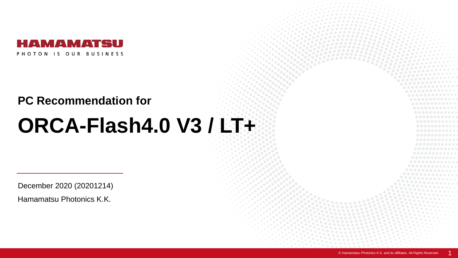

## **PC Recommendation for**

## **ORCA-Flash4.0 V3 / LT+**

December 2020 (20201214)

Hamamatsu Photonics K.K.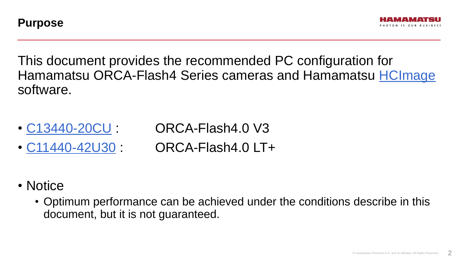



This document provides the recommended PC configuration for Hamamatsu ORCA-Flash4 Series cameras and Hamamatsu [HCImage](https://hcimage.com/) software.

- [C13440-20CU](http://www.hamamatsu.com/us/en/C13440-20CU.html) : ORCA-Flash4.0 V3
- 
- 
- [C11440-42U30](https://www.hamamatsu.com/jp/en/C11440-42U30.html) : ORCA-Flash4.0 LT+
- Notice
	- Optimum performance can be achieved under the conditions describe in this document, but it is not guaranteed.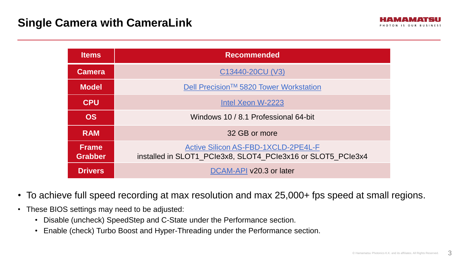| <b>Items</b>                   | <b>Recommended</b>                                                                                        |
|--------------------------------|-----------------------------------------------------------------------------------------------------------|
| <b>Camera</b>                  | C13440-20CU (V3)                                                                                          |
| <b>Model</b>                   | Dell Precision <sup>™</sup> 5820 Tower Workstation                                                        |
| <b>CPU</b>                     | Intel Xeon W-2223                                                                                         |
| <b>OS</b>                      | Windows 10 / 8.1 Professional 64-bit                                                                      |
| <b>RAM</b>                     | 32 GB or more                                                                                             |
| <b>Frame</b><br><b>Grabber</b> | <b>Active Silicon AS-FBD-1XCLD-2PE4L-F</b><br>installed in SLOT1 PCIe3x8, SLOT4 PCIe3x16 or SLOT5 PCIe3x4 |
| <b>Drivers</b>                 | DCAM-API v20.3 or later                                                                                   |

- To achieve full speed recording at max resolution and max 25,000+ fps speed at small regions.
- These BIOS settings may need to be adjusted:
	- Disable (uncheck) SpeedStep and C-State under the Performance section.
	- Enable (check) Turbo Boost and Hyper-Threading under the Performance section.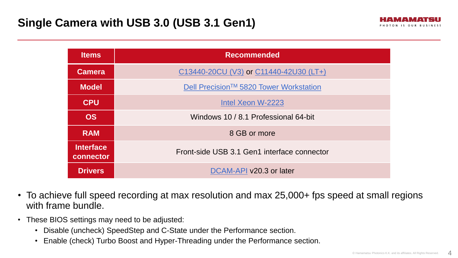| <b>Items</b>                  | <b>Recommended</b>                                 |
|-------------------------------|----------------------------------------------------|
| <b>Camera</b>                 | C13440-20CU (V3) or C11440-42U30 (LT+)             |
| <b>Model</b>                  | Dell Precision <sup>™</sup> 5820 Tower Workstation |
| <b>CPU</b>                    | Intel Xeon W-2223                                  |
| <b>OS</b>                     | Windows 10 / 8.1 Professional 64-bit               |
| <b>RAM</b>                    | 8 GB or more                                       |
| <b>Interface</b><br>connector | Front-side USB 3.1 Gen1 interface connector        |
| <b>Drivers</b>                | DCAM-API v20.3 or later                            |

- To achieve full speed recording at max resolution and max 25,000+ fps speed at small regions with frame bundle.
- These BIOS settings may need to be adjusted:
	- Disable (uncheck) SpeedStep and C-State under the Performance section.
	- Enable (check) Turbo Boost and Hyper-Threading under the Performance section.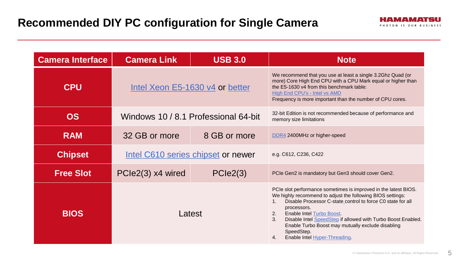| <b>Camera Interface</b> | <b>Camera Link</b>              | <b>USB 3.0</b>                       | <b>Note</b>                                                                                                                                                                                                                                                                                                                                                                                                                                          |  |
|-------------------------|---------------------------------|--------------------------------------|------------------------------------------------------------------------------------------------------------------------------------------------------------------------------------------------------------------------------------------------------------------------------------------------------------------------------------------------------------------------------------------------------------------------------------------------------|--|
| <b>CPU</b>              | Intel Xeon E5-1630 v4 or better |                                      | We recommend that you use at least a single 3.2Ghz Quad (or<br>more) Core High End CPU with a CPU Mark equal or higher than<br>the E5-1630 v4 from this benchmark table:<br><b>High End CPU's - Intel vs AMD</b><br>Frequency is more important than the number of CPU cores.                                                                                                                                                                        |  |
| <b>OS</b>               |                                 | Windows 10 / 8.1 Professional 64-bit | 32-bit Edition is not recommended because of performance and<br>memory size limitations                                                                                                                                                                                                                                                                                                                                                              |  |
| <b>RAM</b>              | 32 GB or more                   | 8 GB or more                         | DDR4 2400MHz or higher-speed                                                                                                                                                                                                                                                                                                                                                                                                                         |  |
| <b>Chipset</b>          |                                 | Intel C610 series chipset or newer   | e.g. C612, C236, C422                                                                                                                                                                                                                                                                                                                                                                                                                                |  |
| <b>Free Slot</b>        | PCIe2(3) x4 wired               | PCle2(3)                             | PCIe Gen2 is mandatory but Gen3 should cover Gen2.                                                                                                                                                                                                                                                                                                                                                                                                   |  |
| <b>BIOS</b>             | Latest                          |                                      | PCIe slot performance sometimes is improved in the latest BIOS.<br>We highly recommend to adjust the following BIOS settings:<br>Disable Processor C-state_control to force C0 state for all<br>$1_{\cdot}$<br>processors.<br><b>Enable Intel Turbo Boost.</b><br>2.<br>Disable Intel SpeedStep if allowed with Turbo Boost Enabled.<br>3.<br>Enable Turbo Boost may mutually exclude disabling<br>SpeedStep.<br>Enable Intel Hyper-Threading.<br>4. |  |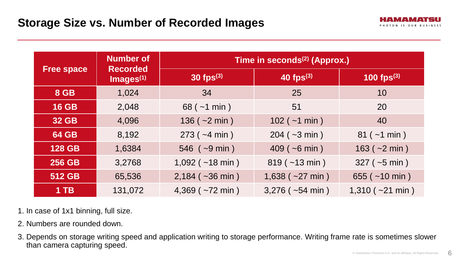

| <b>Free space</b> | <b>Number of</b><br><b>Recorded</b><br>$Images^{(1)}$ | Time in seconds <sup>(2)</sup> (Approx.) |                          |                          |  |
|-------------------|-------------------------------------------------------|------------------------------------------|--------------------------|--------------------------|--|
|                   |                                                       | $30$ fps $^{(3)}$                        | $40$ fps $^{(3)}$        | 100 fps $(3)$            |  |
| <b>8 GB</b>       | 1,024                                                 | 34                                       | 25                       | 10                       |  |
| <b>16 GB</b>      | 2,048                                                 | $68$ ( $\sim$ 1 min)                     | 51                       | 20                       |  |
| <b>32 GB</b>      | 4,096                                                 | $136 (-2 min)$                           | $102$ ( $~1$ min )       | 40                       |  |
| <b>64 GB</b>      | 8,192                                                 | $273$ ( $-4$ min )                       | $204 (-3 min)$           | $81 (-1 min)$            |  |
| <b>128 GB</b>     | 1,6384                                                | $546$ ( $\sim$ 9 min)                    | $409$ ( $-6$ min )       | $163 (-2 min)$           |  |
| <b>256 GB</b>     | 3,2768                                                | $1,092$ ( $\sim$ 18 min)                 | $819$ ( $\sim$ 13 min)   | $327$ ( $\sim$ 5 min)    |  |
| 512 GB            | 65,536                                                | $2,184$ ( $\sim$ 36 min)                 | $1,638$ ( $-27$ min)     | 655 ( $\sim$ 10 min)     |  |
| $1$ TB            | 131,072                                               | 4,369 ( $~1$ 72 min)                     | $3,276$ ( $\sim$ 54 min) | $1,310$ ( $\sim$ 21 min) |  |

1. In case of 1x1 binning, full size.

- 2. Numbers are rounded down.
- 3. Depends on storage writing speed and application writing to storage performance. Writing frame rate is sometimes slower than camera capturing speed.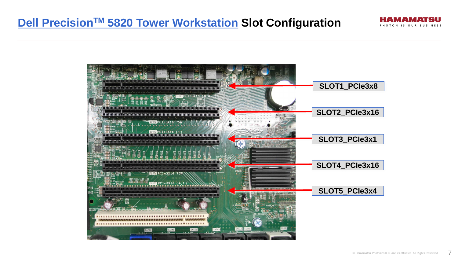## **Dell PrecisionTM 5820 [Tower Workstation](http://www.dell.com/support/home/us/en/04/product-support/product/precision-5820-workstation/manuals) Slot Configuration**